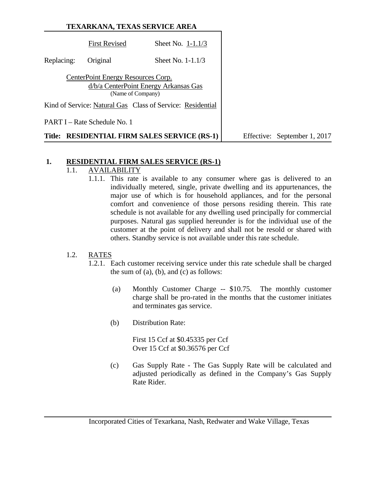|            |                                                         | TEXARKANA, TEXAS SERVICE AREA                              |                              |
|------------|---------------------------------------------------------|------------------------------------------------------------|------------------------------|
|            | <b>First Revised</b>                                    | Sheet No. $1-1.1/3$                                        |                              |
| Replacing: | Original                                                | Sheet No. $1-1.1/3$                                        |                              |
|            | CenterPoint Energy Resources Corp.<br>(Name of Company) | d/b/a CenterPoint Energy Arkansas Gas                      |                              |
|            |                                                         | Kind of Service: Natural Gas Class of Service: Residential |                              |
|            | PART I – Rate Schedule No. 1                            |                                                            |                              |
|            |                                                         | Title: RESIDENTIAL FIRM SALES SERVICE (RS-1)               | Effective: September 1, 2017 |

### **1. RESIDENTIAL FIRM SALES SERVICE (RS-1)**

# 1.1. **AVAILABILITY**

1.1.1. This rate is available to any consumer where gas is delivered to an individually metered, single, private dwelling and its appurtenances, the major use of which is for household appliances, and for the personal comfort and convenience of those persons residing therein. This rate schedule is not available for any dwelling used principally for commercial purposes. Natural gas supplied hereunder is for the individual use of the customer at the point of delivery and shall not be resold or shared with others. Standby service is not available under this rate schedule.

## 1.2. RATES

- 1.2.1. Each customer receiving service under this rate schedule shall be charged the sum of  $(a)$ ,  $(b)$ , and  $(c)$  as follows:
	- (a) Monthly Customer Charge -- \$10.75. The monthly customer charge shall be pro-rated in the months that the customer initiates and terminates gas service.
	- (b) Distribution Rate:

First 15 Ccf at \$0.45335 per Ccf Over 15 Ccf at \$0.36576 per Ccf

(c) Gas Supply Rate - The Gas Supply Rate will be calculated and adjusted periodically as defined in the Company's Gas Supply Rate Rider.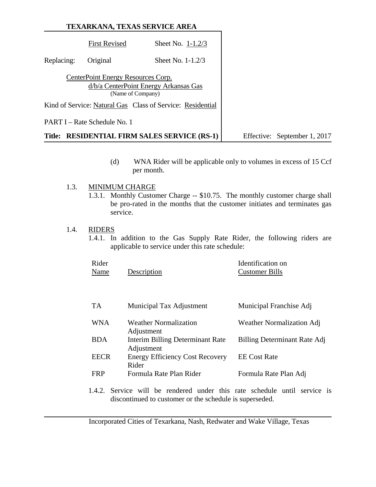|            | TEXARKANA, TEXAS SERVICE AREA                           |                                                            |                              |
|------------|---------------------------------------------------------|------------------------------------------------------------|------------------------------|
|            | <b>First Revised</b>                                    | Sheet No. $1-1.2/3$                                        |                              |
| Replacing: | Original                                                | Sheet No. $1-1.2/3$                                        |                              |
|            | CenterPoint Energy Resources Corp.<br>(Name of Company) | d/b/a CenterPoint Energy Arkansas Gas                      |                              |
|            |                                                         | Kind of Service: Natural Gas Class of Service: Residential |                              |
|            | <b>PART I</b> – Rate Schedule No. 1                     |                                                            |                              |
|            |                                                         | Title: RESIDENTIAL FIRM SALES SERVICE (RS-1)               | Effective: September 1, 2017 |

(d) WNA Rider will be applicable only to volumes in excess of 15 Ccf per month.

#### 1.3. MINIMUM CHARGE

1.3.1. Monthly Customer Charge -- \$10.75. The monthly customer charge shall be pro-rated in the months that the customer initiates and terminates gas service.

### 1.4. RIDERS

1.4.1. In addition to the Gas Supply Rate Rider, the following riders are applicable to service under this rate schedule:

| Rider<br>Name | Description                                           | Identification on<br><b>Customer Bills</b> |
|---------------|-------------------------------------------------------|--------------------------------------------|
| TA.           | Municipal Tax Adjustment                              | Municipal Franchise Adj                    |
| <b>WNA</b>    | Weather Normalization<br>Adjustment                   | <b>Weather Normalization Adj</b>           |
| <b>BDA</b>    | <b>Interim Billing Determinant Rate</b><br>Adjustment | Billing Determinant Rate Adj               |
| <b>EECR</b>   | <b>Energy Efficiency Cost Recovery</b><br>Rider       | <b>EE</b> Cost Rate                        |
| FRP           | Formula Rate Plan Rider                               | Formula Rate Plan Adj                      |

1.4.2. Service will be rendered under this rate schedule until service is discontinued to customer or the schedule is superseded.